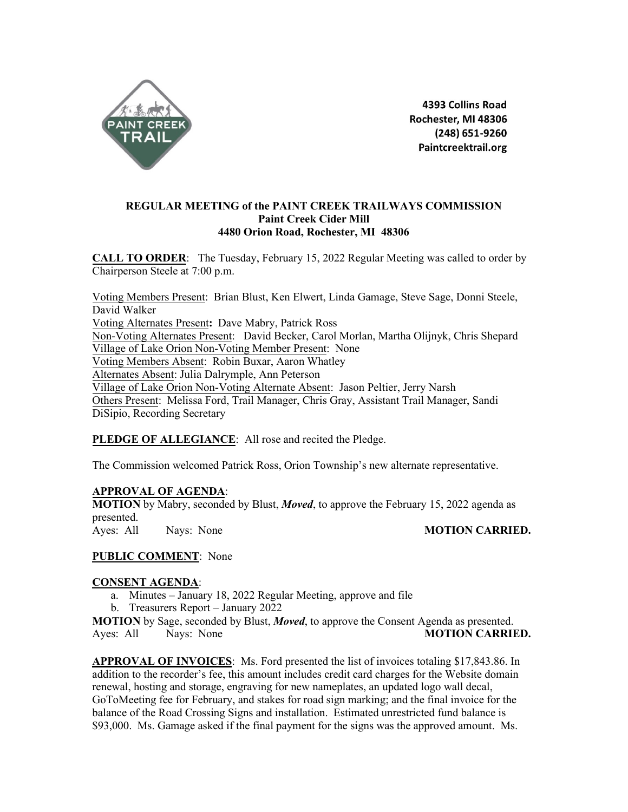

4393 Collins Road Rochester, MI 48306 (248) 651-9260 Paintcreektrail.org

# **REGULAR MEETING of the PAINT CREEK TRAILWAYS COMMISSION Paint Creek Cider Mill 4480 Orion Road, Rochester, MI 48306**

**CALL TO ORDER**: The Tuesday, February 15, 2022 Regular Meeting was called to order by Chairperson Steele at 7:00 p.m.

Voting Members Present: Brian Blust, Ken Elwert, Linda Gamage, Steve Sage, Donni Steele, David Walker Voting Alternates Present**:** Dave Mabry, Patrick Ross Non-Voting Alternates Present: David Becker, Carol Morlan, Martha Olijnyk, Chris Shepard Village of Lake Orion Non-Voting Member Present: None Voting Members Absent: Robin Buxar, Aaron Whatley Alternates Absent: Julia Dalrymple, Ann Peterson Village of Lake Orion Non-Voting Alternate Absent: Jason Peltier, Jerry Narsh Others Present: Melissa Ford, Trail Manager, Chris Gray, Assistant Trail Manager, Sandi DiSipio, Recording Secretary

## **PLEDGE OF ALLEGIANCE**: All rose and recited the Pledge.

The Commission welcomed Patrick Ross, Orion Township's new alternate representative.

## **APPROVAL OF AGENDA**:

**MOTION** by Mabry, seconded by Blust, *Moved*, to approve the February 15, 2022 agenda as presented. Ayes: All Nays: None **MOTION CARRIED.** 

### **PUBLIC COMMENT**: None

### **CONSENT AGENDA**:

- a. Minutes January 18, 2022 Regular Meeting, approve and file
- b. Treasurers Report January 2022

**MOTION** by Sage, seconded by Blust, *Moved*, to approve the Consent Agenda as presented. Ayes: All Nays: None **MOTION CARRIED.**

**APPROVAL OF INVOICES**: Ms. Ford presented the list of invoices totaling \$17,843.86. In addition to the recorder's fee, this amount includes credit card charges for the Website domain renewal, hosting and storage, engraving for new nameplates, an updated logo wall decal, GoToMeeting fee for February, and stakes for road sign marking; and the final invoice for the balance of the Road Crossing Signs and installation. Estimated unrestricted fund balance is \$93,000. Ms. Gamage asked if the final payment for the signs was the approved amount. Ms.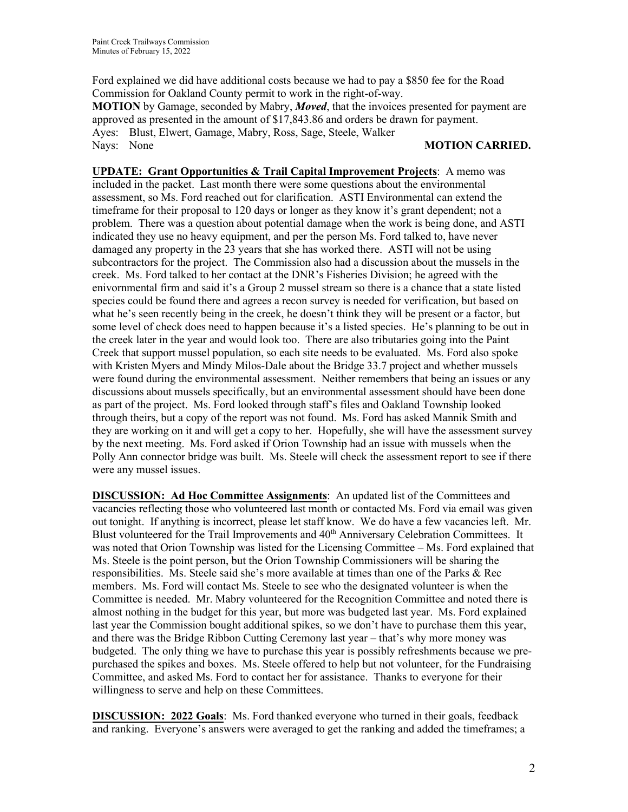Ford explained we did have additional costs because we had to pay a \$850 fee for the Road Commission for Oakland County permit to work in the right-of-way. **MOTION** by Gamage, seconded by Mabry, *Moved*, that the invoices presented for payment are approved as presented in the amount of \$17,843.86 and orders be drawn for payment. Ayes: Blust, Elwert, Gamage, Mabry, Ross, Sage, Steele, Walker Nays: None **MOTION CARRIED.**

**UPDATE: Grant Opportunities & Trail Capital Improvement Projects**: A memo was included in the packet. Last month there were some questions about the environmental assessment, so Ms. Ford reached out for clarification. ASTI Environmental can extend the timeframe for their proposal to 120 days or longer as they know it's grant dependent; not a problem. There was a question about potential damage when the work is being done, and ASTI indicated they use no heavy equipment, and per the person Ms. Ford talked to, have never damaged any property in the 23 years that she has worked there. ASTI will not be using subcontractors for the project. The Commission also had a discussion about the mussels in the creek. Ms. Ford talked to her contact at the DNR's Fisheries Division; he agreed with the enivornmental firm and said it's a Group 2 mussel stream so there is a chance that a state listed species could be found there and agrees a recon survey is needed for verification, but based on what he's seen recently being in the creek, he doesn't think they will be present or a factor, but some level of check does need to happen because it's a listed species. He's planning to be out in the creek later in the year and would look too. There are also tributaries going into the Paint Creek that support mussel population, so each site needs to be evaluated. Ms. Ford also spoke with Kristen Myers and Mindy Milos-Dale about the Bridge 33.7 project and whether mussels were found during the environmental assessment. Neither remembers that being an issues or any discussions about mussels specifically, but an environmental assessment should have been done as part of the project. Ms. Ford looked through staff's files and Oakland Township looked through theirs, but a copy of the report was not found. Ms. Ford has asked Mannik Smith and they are working on it and will get a copy to her. Hopefully, she will have the assessment survey by the next meeting. Ms. Ford asked if Orion Township had an issue with mussels when the Polly Ann connector bridge was built. Ms. Steele will check the assessment report to see if there were any mussel issues.

**DISCUSSION: Ad Hoc Committee Assignments**: An updated list of the Committees and vacancies reflecting those who volunteered last month or contacted Ms. Ford via email was given out tonight. If anything is incorrect, please let staff know. We do have a few vacancies left. Mr. Blust volunteered for the Trail Improvements and 40<sup>th</sup> Anniversary Celebration Committees. It was noted that Orion Township was listed for the Licensing Committee – Ms. Ford explained that Ms. Steele is the point person, but the Orion Township Commissioners will be sharing the responsibilities. Ms. Steele said she's more available at times than one of the Parks & Rec members. Ms. Ford will contact Ms. Steele to see who the designated volunteer is when the Committee is needed. Mr. Mabry volunteered for the Recognition Committee and noted there is almost nothing in the budget for this year, but more was budgeted last year. Ms. Ford explained last year the Commission bought additional spikes, so we don't have to purchase them this year, and there was the Bridge Ribbon Cutting Ceremony last year – that's why more money was budgeted. The only thing we have to purchase this year is possibly refreshments because we prepurchased the spikes and boxes. Ms. Steele offered to help but not volunteer, for the Fundraising Committee, and asked Ms. Ford to contact her for assistance. Thanks to everyone for their willingness to serve and help on these Committees.

**DISCUSSION: 2022 Goals**: Ms. Ford thanked everyone who turned in their goals, feedback and ranking. Everyone's answers were averaged to get the ranking and added the timeframes; a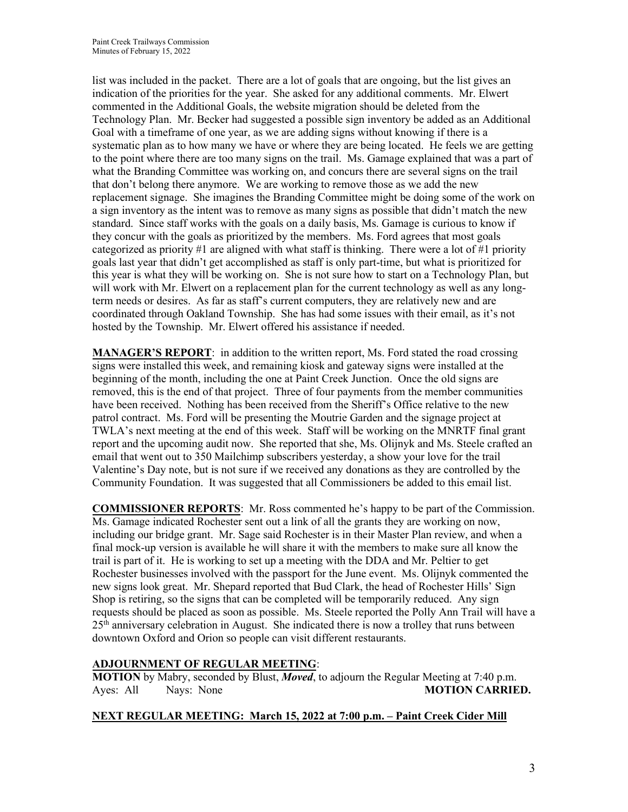list was included in the packet. There are a lot of goals that are ongoing, but the list gives an indication of the priorities for the year. She asked for any additional comments. Mr. Elwert commented in the Additional Goals, the website migration should be deleted from the Technology Plan. Mr. Becker had suggested a possible sign inventory be added as an Additional Goal with a timeframe of one year, as we are adding signs without knowing if there is a systematic plan as to how many we have or where they are being located. He feels we are getting to the point where there are too many signs on the trail. Ms. Gamage explained that was a part of what the Branding Committee was working on, and concurs there are several signs on the trail that don't belong there anymore. We are working to remove those as we add the new replacement signage. She imagines the Branding Committee might be doing some of the work on a sign inventory as the intent was to remove as many signs as possible that didn't match the new standard. Since staff works with the goals on a daily basis, Ms. Gamage is curious to know if they concur with the goals as prioritized by the members. Ms. Ford agrees that most goals categorized as priority  $#1$  are aligned with what staff is thinking. There were a lot of  $#1$  priority goals last year that didn't get accomplished as staff is only part-time, but what is prioritized for this year is what they will be working on. She is not sure how to start on a Technology Plan, but will work with Mr. Elwert on a replacement plan for the current technology as well as any longterm needs or desires. As far as staff's current computers, they are relatively new and are coordinated through Oakland Township. She has had some issues with their email, as it's not hosted by the Township. Mr. Elwert offered his assistance if needed.

**MANAGER'S REPORT**: in addition to the written report, Ms. Ford stated the road crossing signs were installed this week, and remaining kiosk and gateway signs were installed at the beginning of the month, including the one at Paint Creek Junction. Once the old signs are removed, this is the end of that project. Three of four payments from the member communities have been received. Nothing has been received from the Sheriff's Office relative to the new patrol contract. Ms. Ford will be presenting the Moutrie Garden and the signage project at TWLA's next meeting at the end of this week. Staff will be working on the MNRTF final grant report and the upcoming audit now. She reported that she, Ms. Olijnyk and Ms. Steele crafted an email that went out to 350 Mailchimp subscribers yesterday, a show your love for the trail Valentine's Day note, but is not sure if we received any donations as they are controlled by the Community Foundation. It was suggested that all Commissioners be added to this email list.

**COMMISSIONER REPORTS**: Mr. Ross commented he's happy to be part of the Commission. Ms. Gamage indicated Rochester sent out a link of all the grants they are working on now, including our bridge grant. Mr. Sage said Rochester is in their Master Plan review, and when a final mock-up version is available he will share it with the members to make sure all know the trail is part of it. He is working to set up a meeting with the DDA and Mr. Peltier to get Rochester businesses involved with the passport for the June event. Ms. Olijnyk commented the new signs look great. Mr. Shepard reported that Bud Clark, the head of Rochester Hills' Sign Shop is retiring, so the signs that can be completed will be temporarily reduced. Any sign requests should be placed as soon as possible. Ms. Steele reported the Polly Ann Trail will have a  $25<sup>th</sup>$  anniversary celebration in August. She indicated there is now a trolley that runs between downtown Oxford and Orion so people can visit different restaurants.

# **ADJOURNMENT OF REGULAR MEETING**:

**MOTION** by Mabry, seconded by Blust, *Moved*, to adjourn the Regular Meeting at 7:40 p.m. Ayes: All Nays: None **MOTION CARRIED.** 

# **NEXT REGULAR MEETING: March 15, 2022 at 7:00 p.m. – Paint Creek Cider Mill**